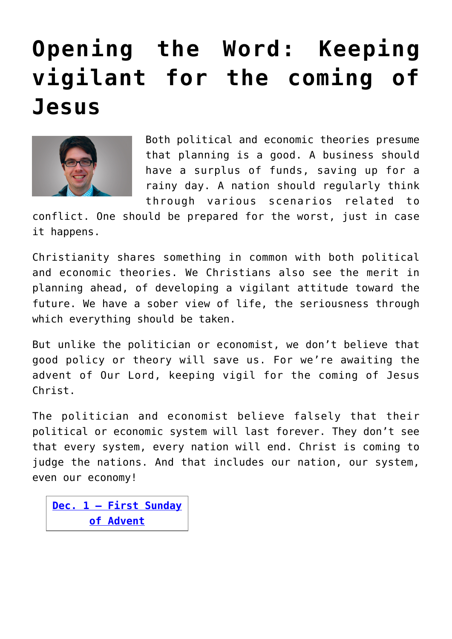## **[Opening the Word: Keeping](https://www.osvnews.com/2019/11/25/keeping-vigilant-for-the-coming-of-jesus/) [vigilant for the coming of](https://www.osvnews.com/2019/11/25/keeping-vigilant-for-the-coming-of-jesus/) [Jesus](https://www.osvnews.com/2019/11/25/keeping-vigilant-for-the-coming-of-jesus/)**



Both political and economic theories presume that planning is a good. A business should have a surplus of funds, saving up for a rainy day. A nation should regularly think through various scenarios related to

conflict. One should be prepared for the worst, just in case it happens.

Christianity shares something in common with both political and economic theories. We Christians also see the merit in planning ahead, of developing a vigilant attitude toward the future. We have a sober view of life, the seriousness through which everything should be taken.

But unlike the politician or economist, we don't believe that good policy or theory will save us. For we're awaiting the advent of Our Lord, keeping vigil for the coming of Jesus Christ.

The politician and economist believe falsely that their political or economic system will last forever. They don't see that every system, every nation will end. Christ is coming to judge the nations. And that includes our nation, our system, even our economy!

**[Dec. 1 — First Sunday](http://www.usccb.org/bible/readings/120119.cfm) [of Advent](http://www.usccb.org/bible/readings/120119.cfm)**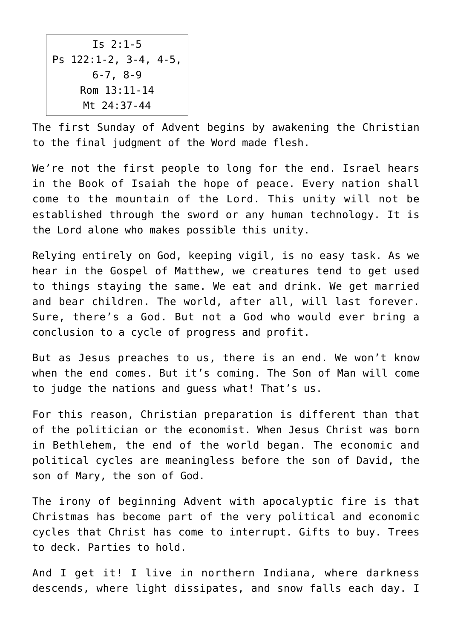Is 2:1-5 Ps 122:1-2, 3-4, 4-5, 6-7, 8-9 Rom 13:11-14 Mt 24:37-44

The first Sunday of Advent begins by awakening the Christian to the final judgment of the Word made flesh.

We're not the first people to long for the end. Israel hears in the Book of Isaiah the hope of peace. Every nation shall come to the mountain of the Lord. This unity will not be established through the sword or any human technology. It is the Lord alone who makes possible this unity.

Relying entirely on God, keeping vigil, is no easy task. As we hear in the Gospel of Matthew, we creatures tend to get used to things staying the same. We eat and drink. We get married and bear children. The world, after all, will last forever. Sure, there's a God. But not a God who would ever bring a conclusion to a cycle of progress and profit.

But as Jesus preaches to us, there is an end. We won't know when the end comes. But it's coming. The Son of Man will come to judge the nations and guess what! That's us.

For this reason, Christian preparation is different than that of the politician or the economist. When Jesus Christ was born in Bethlehem, the end of the world began. The economic and political cycles are meaningless before the son of David, the son of Mary, the son of God.

The irony of beginning Advent with apocalyptic fire is that Christmas has become part of the very political and economic cycles that Christ has come to interrupt. Gifts to buy. Trees to deck. Parties to hold.

And I get it! I live in northern Indiana, where darkness descends, where light dissipates, and snow falls each day. I